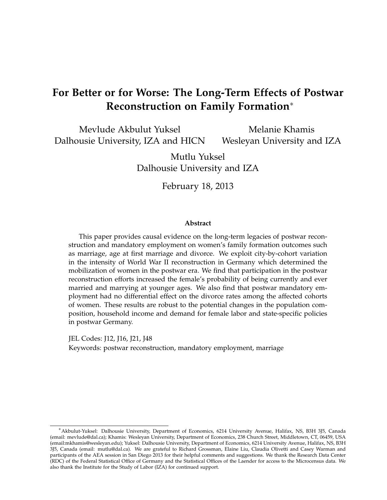## **For Better or for Worse: The Long-Term Effects of Postwar Reconstruction on Family Formation**<sup>∗</sup>

Mevlude Akbulut Yuksel Dalhousie University, IZA and HICN

Melanie Khamis Wesleyan University and IZA

Mutlu Yuksel Dalhousie University and IZA

February 18, 2013

#### **Abstract**

This paper provides causal evidence on the long-term legacies of postwar reconstruction and mandatory employment on women's family formation outcomes such as marriage, age at first marriage and divorce. We exploit city-by-cohort variation in the intensity of World War II reconstruction in Germany which determined the mobilization of women in the postwar era. We find that participation in the postwar reconstruction efforts increased the female's probability of being currently and ever married and marrying at younger ages. We also find that postwar mandatory employment had no differential effect on the divorce rates among the affected cohorts of women. These results are robust to the potential changes in the population composition, household income and demand for female labor and state-specific policies in postwar Germany.

JEL Codes: J12, J16, J21, J48 Keywords: postwar reconstruction, mandatory employment, marriage

<sup>∗</sup>Akbulut-Yuksel: Dalhousie University, Department of Economics, 6214 University Avenue, Halifax, NS, B3H 3J5, Canada (email: mevlude@dal.ca); Khamis: Wesleyan University, Department of Economics, 238 Church Street, Middletown, CT, 06459, USA (email:mkhamis@wesleyan.edu); Yuksel: Dalhousie University, Department of Economics, 6214 University Avenue, Halifax, NS, B3H 3J5, Canada (email: mutlu@dal.ca). We are grateful to Richard Grossman, Elaine Liu, Claudia Olivetti and Casey Warman and participants of the AEA session in San Diego 2013 for their helpful comments and suggestions. We thank the Research Data Center (RDC) of the Federal Statistical Office of Germany and the Statistical Offices of the Laender for access to the Microcensus data. We also thank the Institute for the Study of Labor (IZA) for continued support.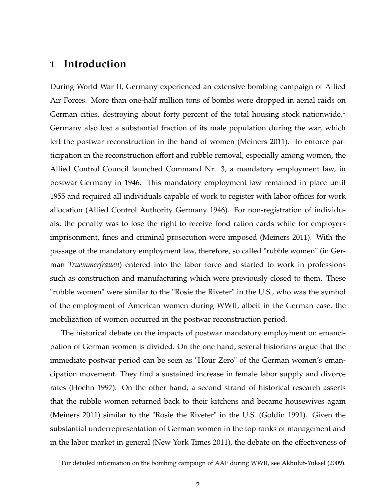## **1 Introduction**

During World War II, Germany experienced an extensive bombing campaign of Allied Air Forces. More than one-half million tons of bombs were dropped in aerial raids on German cities, destroying about forty percent of the total housing stock nationwide.<sup>1</sup> Germany also lost a substantial fraction of its male population during the war, which left the postwar reconstruction in the hand of women (Meiners 2011). To enforce participation in the reconstruction effort and rubble removal, especially among women, the Allied Control Council launched Command Nr. 3, a mandatory employment law, in postwar Germany in 1946. This mandatory employment law remained in place until 1955 and required all individuals capable of work to register with labor offices for work allocation (Allied Control Authority Germany 1946). For non-registration of individuals, the penalty was to lose the right to receive food ration cards while for employers imprisonment, fines and criminal prosecution were imposed (Meiners 2011). With the passage of the mandatory employment law, therefore, so called "rubble women" (in German *Truemmerfrauen*) entered into the labor force and started to work in professions such as construction and manufacturing which were previously closed to them. These "rubble women" were similar to the "Rosie the Riveter" in the U.S., who was the symbol of the employment of American women during WWII, albeit in the German case, the mobilization of women occurred in the postwar reconstruction period.

The historical debate on the impacts of postwar mandatory employment on emancipation of German women is divided. On the one hand, several historians argue that the immediate postwar period can be seen as "Hour Zero" of the German women's emancipation movement. They find a sustained increase in female labor supply and divorce rates (Hoehn 1997). On the other hand, a second strand of historical research asserts that the rubble women returned back to their kitchens and became housewives again (Meiners 2011) similar to the "Rosie the Riveter" in the U.S. (Goldin 1991). Given the substantial underrepresentation of German women in the top ranks of management and in the labor market in general (New York Times 2011), the debate on the effectiveness of

<sup>&</sup>lt;sup>1</sup>For detailed information on the bombing campaign of AAF during WWII, see Akbulut-Yuksel (2009).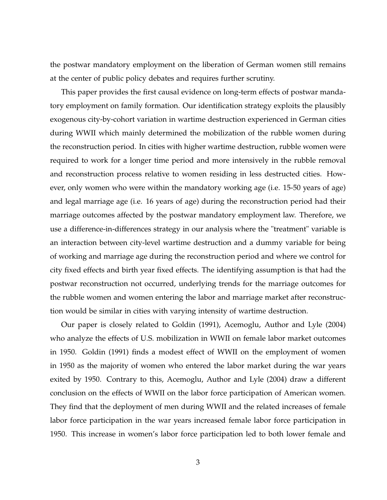the postwar mandatory employment on the liberation of German women still remains at the center of public policy debates and requires further scrutiny.

This paper provides the first causal evidence on long-term effects of postwar mandatory employment on family formation. Our identification strategy exploits the plausibly exogenous city-by-cohort variation in wartime destruction experienced in German cities during WWII which mainly determined the mobilization of the rubble women during the reconstruction period. In cities with higher wartime destruction, rubble women were required to work for a longer time period and more intensively in the rubble removal and reconstruction process relative to women residing in less destructed cities. However, only women who were within the mandatory working age (i.e. 15-50 years of age) and legal marriage age (i.e. 16 years of age) during the reconstruction period had their marriage outcomes affected by the postwar mandatory employment law. Therefore, we use a difference-in-differences strategy in our analysis where the "treatment" variable is an interaction between city-level wartime destruction and a dummy variable for being of working and marriage age during the reconstruction period and where we control for city fixed effects and birth year fixed effects. The identifying assumption is that had the postwar reconstruction not occurred, underlying trends for the marriage outcomes for the rubble women and women entering the labor and marriage market after reconstruction would be similar in cities with varying intensity of wartime destruction.

Our paper is closely related to Goldin (1991), Acemoglu, Author and Lyle (2004) who analyze the effects of U.S. mobilization in WWII on female labor market outcomes in 1950. Goldin (1991) finds a modest effect of WWII on the employment of women in 1950 as the majority of women who entered the labor market during the war years exited by 1950. Contrary to this, Acemoglu, Author and Lyle (2004) draw a different conclusion on the effects of WWII on the labor force participation of American women. They find that the deployment of men during WWII and the related increases of female labor force participation in the war years increased female labor force participation in 1950. This increase in women's labor force participation led to both lower female and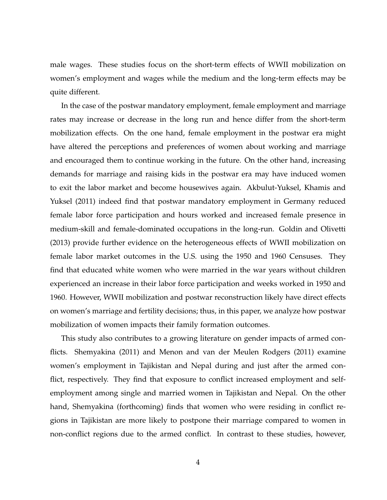male wages. These studies focus on the short-term effects of WWII mobilization on women's employment and wages while the medium and the long-term effects may be quite different.

In the case of the postwar mandatory employment, female employment and marriage rates may increase or decrease in the long run and hence differ from the short-term mobilization effects. On the one hand, female employment in the postwar era might have altered the perceptions and preferences of women about working and marriage and encouraged them to continue working in the future. On the other hand, increasing demands for marriage and raising kids in the postwar era may have induced women to exit the labor market and become housewives again. Akbulut-Yuksel, Khamis and Yuksel (2011) indeed find that postwar mandatory employment in Germany reduced female labor force participation and hours worked and increased female presence in medium-skill and female-dominated occupations in the long-run. Goldin and Olivetti (2013) provide further evidence on the heterogeneous effects of WWII mobilization on female labor market outcomes in the U.S. using the 1950 and 1960 Censuses. They find that educated white women who were married in the war years without children experienced an increase in their labor force participation and weeks worked in 1950 and 1960. However, WWII mobilization and postwar reconstruction likely have direct effects on women's marriage and fertility decisions; thus, in this paper, we analyze how postwar mobilization of women impacts their family formation outcomes.

This study also contributes to a growing literature on gender impacts of armed conflicts. Shemyakina (2011) and Menon and van der Meulen Rodgers (2011) examine women's employment in Tajikistan and Nepal during and just after the armed conflict, respectively. They find that exposure to conflict increased employment and selfemployment among single and married women in Tajikistan and Nepal. On the other hand, Shemyakina (forthcoming) finds that women who were residing in conflict regions in Tajikistan are more likely to postpone their marriage compared to women in non-conflict regions due to the armed conflict. In contrast to these studies, however,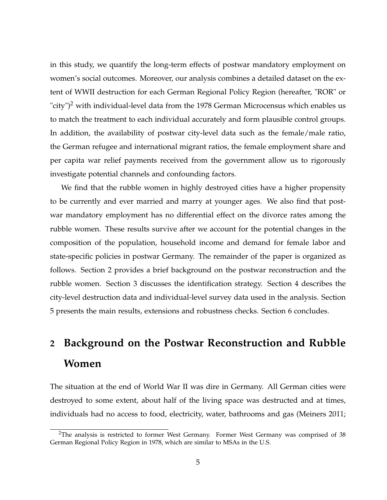in this study, we quantify the long-term effects of postwar mandatory employment on women's social outcomes. Moreover, our analysis combines a detailed dataset on the extent of WWII destruction for each German Regional Policy Region (hereafter, "ROR" or "city")<sup>2</sup> with individual-level data from the 1978 German Microcensus which enables us to match the treatment to each individual accurately and form plausible control groups. In addition, the availability of postwar city-level data such as the female/male ratio, the German refugee and international migrant ratios, the female employment share and per capita war relief payments received from the government allow us to rigorously investigate potential channels and confounding factors.

We find that the rubble women in highly destroyed cities have a higher propensity to be currently and ever married and marry at younger ages. We also find that postwar mandatory employment has no differential effect on the divorce rates among the rubble women. These results survive after we account for the potential changes in the composition of the population, household income and demand for female labor and state-specific policies in postwar Germany. The remainder of the paper is organized as follows. Section 2 provides a brief background on the postwar reconstruction and the rubble women. Section 3 discusses the identification strategy. Section 4 describes the city-level destruction data and individual-level survey data used in the analysis. Section 5 presents the main results, extensions and robustness checks. Section 6 concludes.

# **2 Background on the Postwar Reconstruction and Rubble Women**

The situation at the end of World War II was dire in Germany. All German cities were destroyed to some extent, about half of the living space was destructed and at times, individuals had no access to food, electricity, water, bathrooms and gas (Meiners 2011;

<sup>&</sup>lt;sup>2</sup>The analysis is restricted to former West Germany. Former West Germany was comprised of 38 German Regional Policy Region in 1978, which are similar to MSAs in the U.S.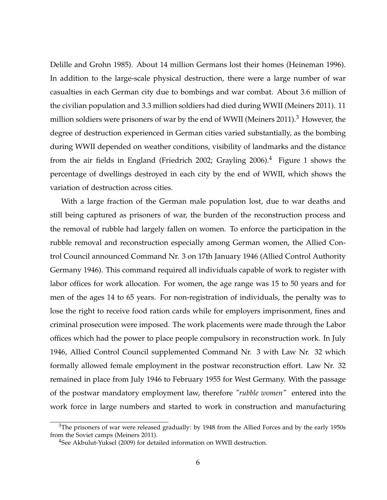Delille and Grohn 1985). About 14 million Germans lost their homes (Heineman 1996). In addition to the large-scale physical destruction, there were a large number of war casualties in each German city due to bombings and war combat. About 3.6 million of the civilian population and 3.3 million soldiers had died during WWII (Meiners 2011). 11 million soldiers were prisoners of war by the end of WWII (Meiners 2011).<sup>3</sup> However, the degree of destruction experienced in German cities varied substantially, as the bombing during WWII depended on weather conditions, visibility of landmarks and the distance from the air fields in England (Friedrich 2002; Grayling 2006).<sup>4</sup> Figure 1 shows the percentage of dwellings destroyed in each city by the end of WWII, which shows the variation of destruction across cities.

With a large fraction of the German male population lost, due to war deaths and still being captured as prisoners of war, the burden of the reconstruction process and the removal of rubble had largely fallen on women. To enforce the participation in the rubble removal and reconstruction especially among German women, the Allied Control Council announced Command Nr. 3 on 17th January 1946 (Allied Control Authority Germany 1946). This command required all individuals capable of work to register with labor offices for work allocation. For women, the age range was 15 to 50 years and for men of the ages 14 to 65 years. For non-registration of individuals, the penalty was to lose the right to receive food ration cards while for employers imprisonment, fines and criminal prosecution were imposed. The work placements were made through the Labor offices which had the power to place people compulsory in reconstruction work. In July 1946, Allied Control Council supplemented Command Nr. 3 with Law Nr. 32 which formally allowed female employment in the postwar reconstruction effort. Law Nr. 32 remained in place from July 1946 to February 1955 for West Germany. With the passage of the postwar mandatory employment law, therefore *"rubble women"* entered into the work force in large numbers and started to work in construction and manufacturing

<sup>&</sup>lt;sup>3</sup>The prisoners of war were released gradually: by 1948 from the Allied Forces and by the early 1950s from the Soviet camps (Meiners 2011).

<sup>4</sup>See Akbulut-Yuksel (2009) for detailed information on WWII destruction.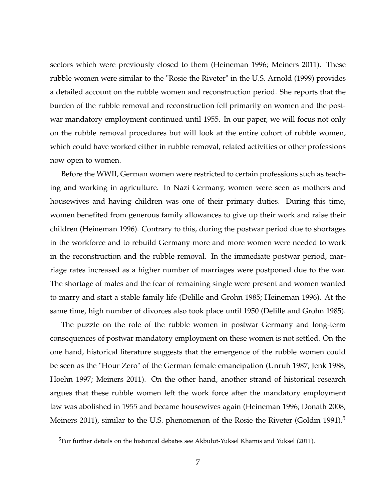sectors which were previously closed to them (Heineman 1996; Meiners 2011). These rubble women were similar to the "Rosie the Riveter" in the U.S. Arnold (1999) provides a detailed account on the rubble women and reconstruction period. She reports that the burden of the rubble removal and reconstruction fell primarily on women and the postwar mandatory employment continued until 1955. In our paper, we will focus not only on the rubble removal procedures but will look at the entire cohort of rubble women, which could have worked either in rubble removal, related activities or other professions now open to women.

Before the WWII, German women were restricted to certain professions such as teaching and working in agriculture. In Nazi Germany, women were seen as mothers and housewives and having children was one of their primary duties. During this time, women benefited from generous family allowances to give up their work and raise their children (Heineman 1996). Contrary to this, during the postwar period due to shortages in the workforce and to rebuild Germany more and more women were needed to work in the reconstruction and the rubble removal. In the immediate postwar period, marriage rates increased as a higher number of marriages were postponed due to the war. The shortage of males and the fear of remaining single were present and women wanted to marry and start a stable family life (Delille and Grohn 1985; Heineman 1996). At the same time, high number of divorces also took place until 1950 (Delille and Grohn 1985).

The puzzle on the role of the rubble women in postwar Germany and long-term consequences of postwar mandatory employment on these women is not settled. On the one hand, historical literature suggests that the emergence of the rubble women could be seen as the "Hour Zero" of the German female emancipation (Unruh 1987; Jenk 1988; Hoehn 1997; Meiners 2011). On the other hand, another strand of historical research argues that these rubble women left the work force after the mandatory employment law was abolished in 1955 and became housewives again (Heineman 1996; Donath 2008; Meiners 2011), similar to the U.S. phenomenon of the Rosie the Riveter (Goldin 1991).<sup>5</sup>

<sup>&</sup>lt;sup>5</sup>For further details on the historical debates see Akbulut-Yuksel Khamis and Yuksel (2011).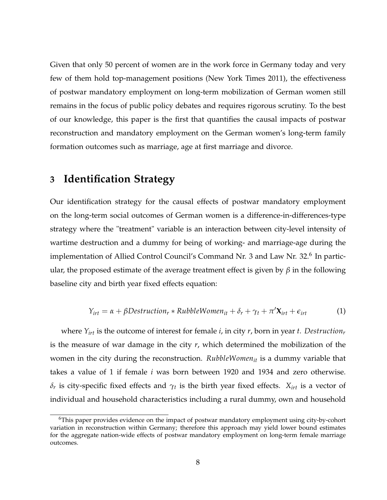Given that only 50 percent of women are in the work force in Germany today and very few of them hold top-management positions (New York Times 2011), the effectiveness of postwar mandatory employment on long-term mobilization of German women still remains in the focus of public policy debates and requires rigorous scrutiny. To the best of our knowledge, this paper is the first that quantifies the causal impacts of postwar reconstruction and mandatory employment on the German women's long-term family formation outcomes such as marriage, age at first marriage and divorce.

## **3 Identification Strategy**

Our identification strategy for the causal effects of postwar mandatory employment on the long-term social outcomes of German women is a difference-in-differences-type strategy where the "treatment" variable is an interaction between city-level intensity of wartime destruction and a dummy for being of working- and marriage-age during the implementation of Allied Control Council's Command Nr. 3 and Law Nr. 32.<sup>6</sup> In particular, the proposed estimate of the average treatment effect is given by *β* in the following baseline city and birth year fixed effects equation:

$$
Y_{irt} = \alpha + \beta Destruction_r * RubbleWomen_{it} + \delta_r + \gamma_t + \pi' \mathbf{X}_{irt} + \epsilon_{irt}
$$
 (1)

where *Yirt* is the outcome of interest for female *i*, in city *r*, born in year *t*. *Destruction<sup>r</sup>* is the measure of war damage in the city *r*, which determined the mobilization of the women in the city during the reconstruction. *RubbleWomenit* is a dummy variable that takes a value of 1 if female *i* was born between 1920 and 1934 and zero otherwise. *δ*<sub>*r*</sub> is city-specific fixed effects and  $γ$ *t* is the birth year fixed effects. *X*<sub>*irt*</sub> is a vector of individual and household characteristics including a rural dummy, own and household

<sup>6</sup>This paper provides evidence on the impact of postwar mandatory employment using city-by-cohort variation in reconstruction within Germany; therefore this approach may yield lower bound estimates for the aggregate nation-wide effects of postwar mandatory employment on long-term female marriage outcomes.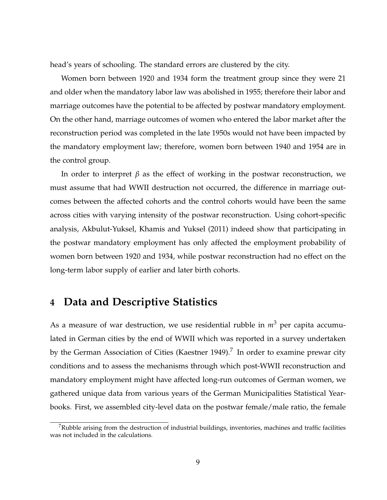head's years of schooling. The standard errors are clustered by the city.

Women born between 1920 and 1934 form the treatment group since they were 21 and older when the mandatory labor law was abolished in 1955; therefore their labor and marriage outcomes have the potential to be affected by postwar mandatory employment. On the other hand, marriage outcomes of women who entered the labor market after the reconstruction period was completed in the late 1950s would not have been impacted by the mandatory employment law; therefore, women born between 1940 and 1954 are in the control group.

In order to interpret  $\beta$  as the effect of working in the postwar reconstruction, we must assume that had WWII destruction not occurred, the difference in marriage outcomes between the affected cohorts and the control cohorts would have been the same across cities with varying intensity of the postwar reconstruction. Using cohort-specific analysis, Akbulut-Yuksel, Khamis and Yuksel (2011) indeed show that participating in the postwar mandatory employment has only affected the employment probability of women born between 1920 and 1934, while postwar reconstruction had no effect on the long-term labor supply of earlier and later birth cohorts.

## **4 Data and Descriptive Statistics**

As a measure of war destruction, we use residential rubble in  $m^3$  per capita accumulated in German cities by the end of WWII which was reported in a survey undertaken by the German Association of Cities (Kaestner 1949).<sup>7</sup> In order to examine prewar city conditions and to assess the mechanisms through which post-WWII reconstruction and mandatory employment might have affected long-run outcomes of German women, we gathered unique data from various years of the German Municipalities Statistical Yearbooks. First, we assembled city-level data on the postwar female/male ratio, the female

 $7R$ ubble arising from the destruction of industrial buildings, inventories, machines and traffic facilities was not included in the calculations.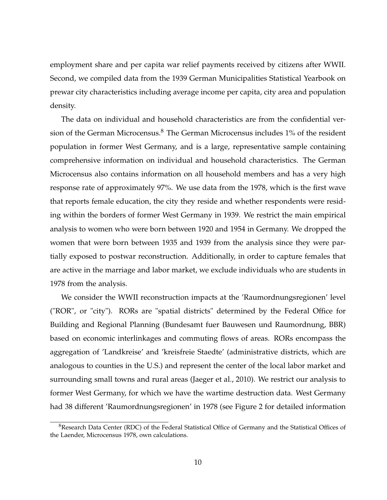employment share and per capita war relief payments received by citizens after WWII. Second, we compiled data from the 1939 German Municipalities Statistical Yearbook on prewar city characteristics including average income per capita, city area and population density.

The data on individual and household characteristics are from the confidential version of the German Microcensus. $8$  The German Microcensus includes 1% of the resident population in former West Germany, and is a large, representative sample containing comprehensive information on individual and household characteristics. The German Microcensus also contains information on all household members and has a very high response rate of approximately 97%. We use data from the 1978, which is the first wave that reports female education, the city they reside and whether respondents were residing within the borders of former West Germany in 1939. We restrict the main empirical analysis to women who were born between 1920 and 1954 in Germany. We dropped the women that were born between 1935 and 1939 from the analysis since they were partially exposed to postwar reconstruction. Additionally, in order to capture females that are active in the marriage and labor market, we exclude individuals who are students in 1978 from the analysis.

We consider the WWII reconstruction impacts at the 'Raumordnungsregionen' level ("ROR", or "city"). RORs are "spatial districts" determined by the Federal Office for Building and Regional Planning (Bundesamt fuer Bauwesen und Raumordnung, BBR) based on economic interlinkages and commuting flows of areas. RORs encompass the aggregation of 'Landkreise' and 'kreisfreie Staedte' (administrative districts, which are analogous to counties in the U.S.) and represent the center of the local labor market and surrounding small towns and rural areas (Jaeger et al., 2010). We restrict our analysis to former West Germany, for which we have the wartime destruction data. West Germany had 38 different 'Raumordnungsregionen' in 1978 (see Figure 2 for detailed information

<sup>8</sup>Research Data Center (RDC) of the Federal Statistical Office of Germany and the Statistical Offices of the Laender, Microcensus 1978, own calculations.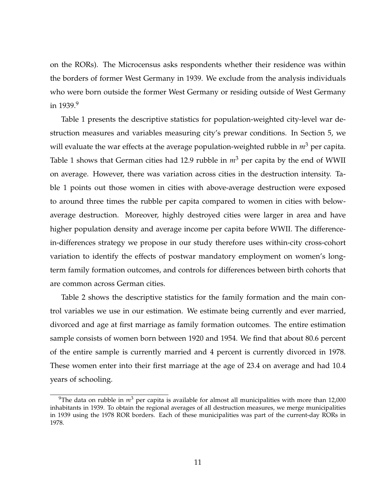on the RORs). The Microcensus asks respondents whether their residence was within the borders of former West Germany in 1939. We exclude from the analysis individuals who were born outside the former West Germany or residing outside of West Germany in  $1939.9$ 

Table 1 presents the descriptive statistics for population-weighted city-level war destruction measures and variables measuring city's prewar conditions. In Section 5, we will evaluate the war effects at the average population-weighted rubble in  $m^3$  per capita. Table 1 shows that German cities had 12.9 rubble in  $m^3$  per capita by the end of WWII on average. However, there was variation across cities in the destruction intensity. Table 1 points out those women in cities with above-average destruction were exposed to around three times the rubble per capita compared to women in cities with belowaverage destruction. Moreover, highly destroyed cities were larger in area and have higher population density and average income per capita before WWII. The differencein-differences strategy we propose in our study therefore uses within-city cross-cohort variation to identify the effects of postwar mandatory employment on women's longterm family formation outcomes, and controls for differences between birth cohorts that are common across German cities.

Table 2 shows the descriptive statistics for the family formation and the main control variables we use in our estimation. We estimate being currently and ever married, divorced and age at first marriage as family formation outcomes. The entire estimation sample consists of women born between 1920 and 1954. We find that about 80.6 percent of the entire sample is currently married and 4 percent is currently divorced in 1978. These women enter into their first marriage at the age of 23.4 on average and had 10.4 years of schooling.

<sup>&</sup>lt;sup>9</sup>The data on rubble in  $m^3$  per capita is available for almost all municipalities with more than 12,000 inhabitants in 1939. To obtain the regional averages of all destruction measures, we merge municipalities in 1939 using the 1978 ROR borders. Each of these municipalities was part of the current-day RORs in 1978.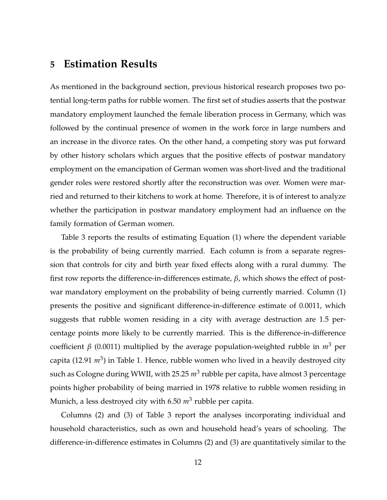## **5 Estimation Results**

As mentioned in the background section, previous historical research proposes two potential long-term paths for rubble women. The first set of studies asserts that the postwar mandatory employment launched the female liberation process in Germany, which was followed by the continual presence of women in the work force in large numbers and an increase in the divorce rates. On the other hand, a competing story was put forward by other history scholars which argues that the positive effects of postwar mandatory employment on the emancipation of German women was short-lived and the traditional gender roles were restored shortly after the reconstruction was over. Women were married and returned to their kitchens to work at home. Therefore, it is of interest to analyze whether the participation in postwar mandatory employment had an influence on the family formation of German women.

Table 3 reports the results of estimating Equation (1) where the dependent variable is the probability of being currently married. Each column is from a separate regression that controls for city and birth year fixed effects along with a rural dummy. The first row reports the difference-in-differences estimate, *β*, which shows the effect of postwar mandatory employment on the probability of being currently married. Column (1) presents the positive and significant difference-in-difference estimate of 0.0011, which suggests that rubble women residing in a city with average destruction are 1.5 percentage points more likely to be currently married. This is the difference-in-difference coefficient *β* (0.0011) multiplied by the average population-weighted rubble in  $m^3$  per capita (12.91  $m^3$ ) in Table 1. Hence, rubble women who lived in a heavily destroyed city such as Cologne during WWII, with 25.25  $m^3$  rubble per capita, have almost 3 percentage points higher probability of being married in 1978 relative to rubble women residing in Munich, a less destroyed city with 6.50 *m*<sup>3</sup> rubble per capita.

Columns (2) and (3) of Table 3 report the analyses incorporating individual and household characteristics, such as own and household head's years of schooling. The difference-in-difference estimates in Columns (2) and (3) are quantitatively similar to the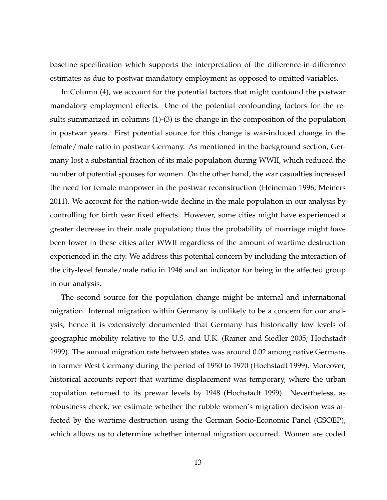baseline specification which supports the interpretation of the difference-in-difference estimates as due to postwar mandatory employment as opposed to omitted variables.

In Column (4), we account for the potential factors that might confound the postwar mandatory employment effects. One of the potential confounding factors for the results summarized in columns (1)-(3) is the change in the composition of the population in postwar years. First potential source for this change is war-induced change in the female/male ratio in postwar Germany. As mentioned in the background section, Germany lost a substantial fraction of its male population during WWII, which reduced the number of potential spouses for women. On the other hand, the war casualties increased the need for female manpower in the postwar reconstruction (Heineman 1996; Meiners 2011). We account for the nation-wide decline in the male population in our analysis by controlling for birth year fixed effects. However, some cities might have experienced a greater decrease in their male population; thus the probability of marriage might have been lower in these cities after WWII regardless of the amount of wartime destruction experienced in the city. We address this potential concern by including the interaction of the city-level female/male ratio in 1946 and an indicator for being in the affected group in our analysis.

The second source for the population change might be internal and international migration. Internal migration within Germany is unlikely to be a concern for our analysis; hence it is extensively documented that Germany has historically low levels of geographic mobility relative to the U.S. and U.K. (Rainer and Siedler 2005; Hochstadt 1999). The annual migration rate between states was around 0.02 among native Germans in former West Germany during the period of 1950 to 1970 (Hochstadt 1999). Moreover, historical accounts report that wartime displacement was temporary, where the urban population returned to its prewar levels by 1948 (Hochstadt 1999). Nevertheless, as robustness check, we estimate whether the rubble women's migration decision was affected by the wartime destruction using the German Socio-Economic Panel (GSOEP), which allows us to determine whether internal migration occurred. Women are coded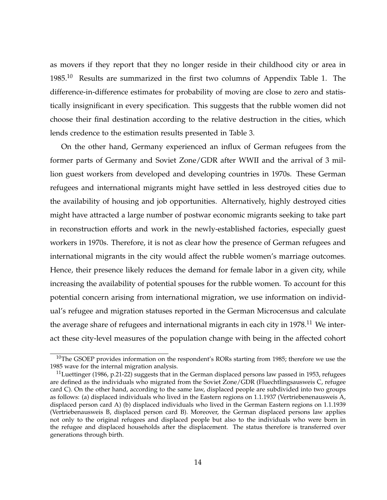as movers if they report that they no longer reside in their childhood city or area in  $1985.<sup>10</sup>$  Results are summarized in the first two columns of Appendix Table 1. The difference-in-difference estimates for probability of moving are close to zero and statistically insignificant in every specification. This suggests that the rubble women did not choose their final destination according to the relative destruction in the cities, which lends credence to the estimation results presented in Table 3.

On the other hand, Germany experienced an influx of German refugees from the former parts of Germany and Soviet Zone/GDR after WWII and the arrival of 3 million guest workers from developed and developing countries in 1970s. These German refugees and international migrants might have settled in less destroyed cities due to the availability of housing and job opportunities. Alternatively, highly destroyed cities might have attracted a large number of postwar economic migrants seeking to take part in reconstruction efforts and work in the newly-established factories, especially guest workers in 1970s. Therefore, it is not as clear how the presence of German refugees and international migrants in the city would affect the rubble women's marriage outcomes. Hence, their presence likely reduces the demand for female labor in a given city, while increasing the availability of potential spouses for the rubble women. To account for this potential concern arising from international migration, we use information on individual's refugee and migration statuses reported in the German Microcensus and calculate the average share of refugees and international migrants in each city in  $1978$ .<sup>11</sup> We interact these city-level measures of the population change with being in the affected cohort

<sup>&</sup>lt;sup>10</sup>The GSOEP provides information on the respondent's RORs starting from 1985; therefore we use the 1985 wave for the internal migration analysis.

 $11$ Luettinger (1986, p.21-22) suggests that in the German displaced persons law passed in 1953, refugees are defined as the individuals who migrated from the Soviet Zone/GDR (Fluechtlingsausweis C, refugee card C). On the other hand, according to the same law, displaced people are subdivided into two groups as follows: (a) displaced individuals who lived in the Eastern regions on 1.1.1937 (Vertriebenenausweis A, displaced person card A) (b) displaced individuals who lived in the German Eastern regions on 1.1.1939 (Vertriebenausweis B, displaced person card B). Moreover, the German displaced persons law applies not only to the original refugees and displaced people but also to the individuals who were born in the refugee and displaced households after the displacement. The status therefore is transferred over generations through birth.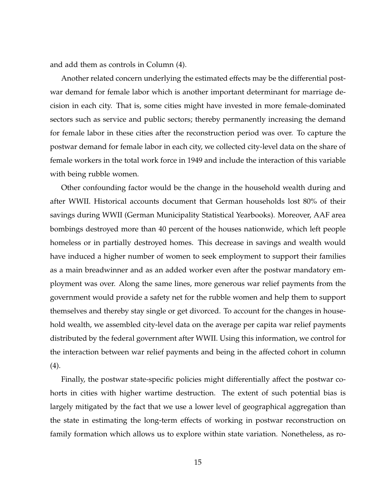and add them as controls in Column (4).

Another related concern underlying the estimated effects may be the differential postwar demand for female labor which is another important determinant for marriage decision in each city. That is, some cities might have invested in more female-dominated sectors such as service and public sectors; thereby permanently increasing the demand for female labor in these cities after the reconstruction period was over. To capture the postwar demand for female labor in each city, we collected city-level data on the share of female workers in the total work force in 1949 and include the interaction of this variable with being rubble women.

Other confounding factor would be the change in the household wealth during and after WWII. Historical accounts document that German households lost 80% of their savings during WWII (German Municipality Statistical Yearbooks). Moreover, AAF area bombings destroyed more than 40 percent of the houses nationwide, which left people homeless or in partially destroyed homes. This decrease in savings and wealth would have induced a higher number of women to seek employment to support their families as a main breadwinner and as an added worker even after the postwar mandatory employment was over. Along the same lines, more generous war relief payments from the government would provide a safety net for the rubble women and help them to support themselves and thereby stay single or get divorced. To account for the changes in household wealth, we assembled city-level data on the average per capita war relief payments distributed by the federal government after WWII. Using this information, we control for the interaction between war relief payments and being in the affected cohort in column (4).

Finally, the postwar state-specific policies might differentially affect the postwar cohorts in cities with higher wartime destruction. The extent of such potential bias is largely mitigated by the fact that we use a lower level of geographical aggregation than the state in estimating the long-term effects of working in postwar reconstruction on family formation which allows us to explore within state variation. Nonetheless, as ro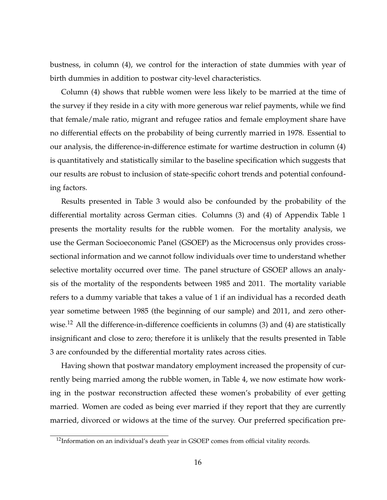bustness, in column (4), we control for the interaction of state dummies with year of birth dummies in addition to postwar city-level characteristics.

Column (4) shows that rubble women were less likely to be married at the time of the survey if they reside in a city with more generous war relief payments, while we find that female/male ratio, migrant and refugee ratios and female employment share have no differential effects on the probability of being currently married in 1978. Essential to our analysis, the difference-in-difference estimate for wartime destruction in column (4) is quantitatively and statistically similar to the baseline specification which suggests that our results are robust to inclusion of state-specific cohort trends and potential confounding factors.

Results presented in Table 3 would also be confounded by the probability of the differential mortality across German cities. Columns (3) and (4) of Appendix Table 1 presents the mortality results for the rubble women. For the mortality analysis, we use the German Socioeconomic Panel (GSOEP) as the Microcensus only provides crosssectional information and we cannot follow individuals over time to understand whether selective mortality occurred over time. The panel structure of GSOEP allows an analysis of the mortality of the respondents between 1985 and 2011. The mortality variable refers to a dummy variable that takes a value of 1 if an individual has a recorded death year sometime between 1985 (the beginning of our sample) and 2011, and zero otherwise.<sup>12</sup> All the difference-in-difference coefficients in columns (3) and (4) are statistically insignificant and close to zero; therefore it is unlikely that the results presented in Table 3 are confounded by the differential mortality rates across cities.

Having shown that postwar mandatory employment increased the propensity of currently being married among the rubble women, in Table 4, we now estimate how working in the postwar reconstruction affected these women's probability of ever getting married. Women are coded as being ever married if they report that they are currently married, divorced or widows at the time of the survey. Our preferred specification pre-

 $12$ Information on an individual's death year in GSOEP comes from official vitality records.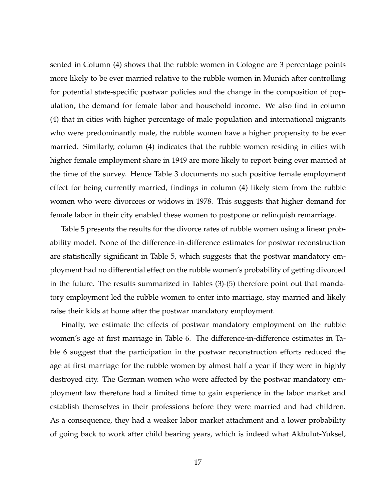sented in Column (4) shows that the rubble women in Cologne are 3 percentage points more likely to be ever married relative to the rubble women in Munich after controlling for potential state-specific postwar policies and the change in the composition of population, the demand for female labor and household income. We also find in column (4) that in cities with higher percentage of male population and international migrants who were predominantly male, the rubble women have a higher propensity to be ever married. Similarly, column (4) indicates that the rubble women residing in cities with higher female employment share in 1949 are more likely to report being ever married at the time of the survey. Hence Table 3 documents no such positive female employment effect for being currently married, findings in column (4) likely stem from the rubble women who were divorcees or widows in 1978. This suggests that higher demand for female labor in their city enabled these women to postpone or relinquish remarriage.

Table 5 presents the results for the divorce rates of rubble women using a linear probability model. None of the difference-in-difference estimates for postwar reconstruction are statistically significant in Table 5, which suggests that the postwar mandatory employment had no differential effect on the rubble women's probability of getting divorced in the future. The results summarized in Tables (3)-(5) therefore point out that mandatory employment led the rubble women to enter into marriage, stay married and likely raise their kids at home after the postwar mandatory employment.

Finally, we estimate the effects of postwar mandatory employment on the rubble women's age at first marriage in Table 6. The difference-in-difference estimates in Table 6 suggest that the participation in the postwar reconstruction efforts reduced the age at first marriage for the rubble women by almost half a year if they were in highly destroyed city. The German women who were affected by the postwar mandatory employment law therefore had a limited time to gain experience in the labor market and establish themselves in their professions before they were married and had children. As a consequence, they had a weaker labor market attachment and a lower probability of going back to work after child bearing years, which is indeed what Akbulut-Yuksel,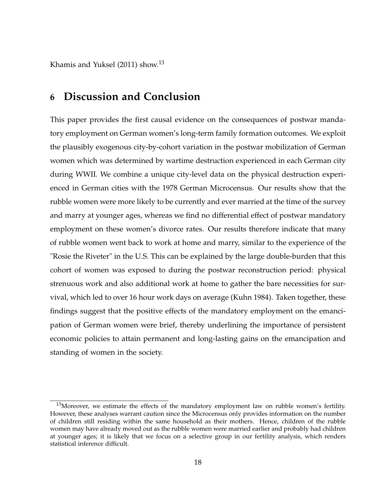Khamis and Yuksel (2011) show.<sup>13</sup>

## **6 Discussion and Conclusion**

This paper provides the first causal evidence on the consequences of postwar mandatory employment on German women's long-term family formation outcomes. We exploit the plausibly exogenous city-by-cohort variation in the postwar mobilization of German women which was determined by wartime destruction experienced in each German city during WWII. We combine a unique city-level data on the physical destruction experienced in German cities with the 1978 German Microcensus. Our results show that the rubble women were more likely to be currently and ever married at the time of the survey and marry at younger ages, whereas we find no differential effect of postwar mandatory employment on these women's divorce rates. Our results therefore indicate that many of rubble women went back to work at home and marry, similar to the experience of the "Rosie the Riveter" in the U.S. This can be explained by the large double-burden that this cohort of women was exposed to during the postwar reconstruction period: physical strenuous work and also additional work at home to gather the bare necessities for survival, which led to over 16 hour work days on average (Kuhn 1984). Taken together, these findings suggest that the positive effects of the mandatory employment on the emancipation of German women were brief, thereby underlining the importance of persistent economic policies to attain permanent and long-lasting gains on the emancipation and standing of women in the society.

<sup>&</sup>lt;sup>13</sup>Moreover, we estimate the effects of the mandatory employment law on rubble women's fertility. However, these analyses warrant caution since the Microcensus only provides information on the number of children still residing within the same household as their mothers. Hence, children of the rubble women may have already moved out as the rubble women were married earlier and probably had children at younger ages; it is likely that we focus on a selective group in our fertility analysis, which renders statistical inference difficult.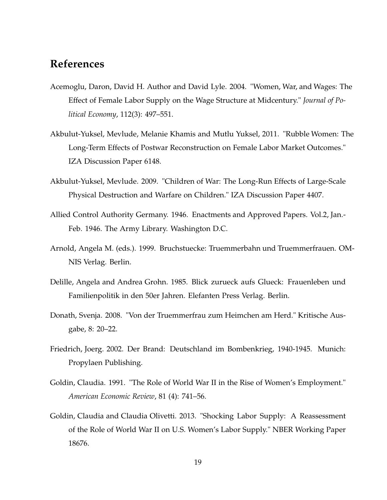## **References**

- Acemoglu, Daron, David H. Author and David Lyle. 2004. "Women, War, and Wages: The Effect of Female Labor Supply on the Wage Structure at Midcentury." *Journal of Political Economy*, 112(3): 497–551.
- Akbulut-Yuksel, Mevlude, Melanie Khamis and Mutlu Yuksel, 2011. "Rubble Women: The Long-Term Effects of Postwar Reconstruction on Female Labor Market Outcomes." IZA Discussion Paper 6148.
- Akbulut-Yuksel, Mevlude. 2009. "Children of War: The Long-Run Effects of Large-Scale Physical Destruction and Warfare on Children." IZA Discussion Paper 4407.
- Allied Control Authority Germany. 1946. Enactments and Approved Papers. Vol.2, Jan.- Feb. 1946. The Army Library. Washington D.C.
- Arnold, Angela M. (eds.). 1999. Bruchstuecke: Truemmerbahn und Truemmerfrauen. OM-NIS Verlag. Berlin.
- Delille, Angela and Andrea Grohn. 1985. Blick zurueck aufs Glueck: Frauenleben und Familienpolitik in den 50er Jahren. Elefanten Press Verlag. Berlin.
- Donath, Svenja. 2008. "Von der Truemmerfrau zum Heimchen am Herd." Kritische Ausgabe, 8: 20–22.
- Friedrich, Joerg. 2002. Der Brand: Deutschland im Bombenkrieg, 1940-1945. Munich: Propylaen Publishing.
- Goldin, Claudia. 1991. "The Role of World War II in the Rise of Women's Employment." *American Economic Review*, 81 (4): 741–56.
- Goldin, Claudia and Claudia Olivetti. 2013. "Shocking Labor Supply: A Reassessment of the Role of World War II on U.S. Women's Labor Supply." NBER Working Paper 18676.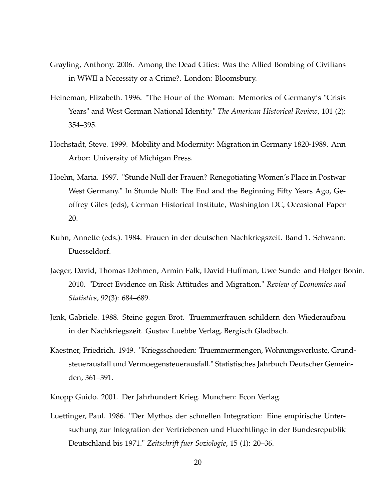- Grayling, Anthony. 2006. Among the Dead Cities: Was the Allied Bombing of Civilians in WWII a Necessity or a Crime?. London: Bloomsbury.
- Heineman, Elizabeth. 1996. "The Hour of the Woman: Memories of Germany's "Crisis Years" and West German National Identity." *The American Historical Review*, 101 (2): 354–395.
- Hochstadt, Steve. 1999. Mobility and Modernity: Migration in Germany 1820-1989. Ann Arbor: University of Michigan Press.
- Hoehn, Maria. 1997. "Stunde Null der Frauen? Renegotiating Women's Place in Postwar West Germany." In Stunde Null: The End and the Beginning Fifty Years Ago, Geoffrey Giles (eds), German Historical Institute, Washington DC, Occasional Paper 20.
- Kuhn, Annette (eds.). 1984. Frauen in der deutschen Nachkriegszeit. Band 1. Schwann: Duesseldorf.
- Jaeger, David, Thomas Dohmen, Armin Falk, David Huffman, Uwe Sunde and Holger Bonin. 2010. "Direct Evidence on Risk Attitudes and Migration." *Review of Economics and Statistics*, 92(3): 684–689.
- Jenk, Gabriele. 1988. Steine gegen Brot. Truemmerfrauen schildern den Wiederaufbau in der Nachkriegszeit. Gustav Luebbe Verlag, Bergisch Gladbach.
- Kaestner, Friedrich. 1949. "Kriegsschoeden: Truemmermengen, Wohnungsverluste, Grundsteuerausfall und Vermoegensteuerausfall." Statistisches Jahrbuch Deutscher Gemeinden, 361–391.
- Knopp Guido. 2001. Der Jahrhundert Krieg. Munchen: Econ Verlag.
- Luettinger, Paul. 1986. "Der Mythos der schnellen Integration: Eine empirische Untersuchung zur Integration der Vertriebenen und Fluechtlinge in der Bundesrepublik Deutschland bis 1971." *Zeitschrift fuer Soziologie*, 15 (1): 20–36.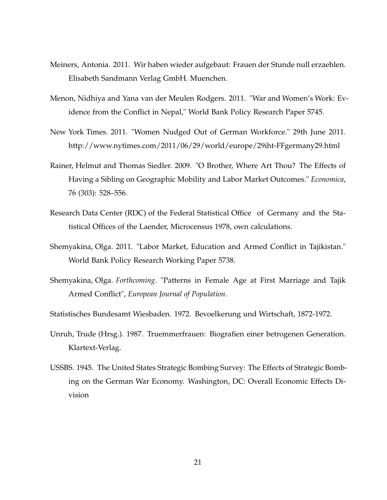- Meiners, Antonia. 2011. Wir haben wieder aufgebaut: Frauen der Stunde null erzaehlen. Elisabeth Sandmann Verlag GmbH. Muenchen.
- Menon, Nidhiya and Yana van der Meulen Rodgers. 2011. "War and Women's Work: Evidence from the Conflict in Nepal," World Bank Policy Research Paper 5745.
- New York Times. 2011. "Women Nudged Out of German Workforce." 29th June 2011. http://www.nytimes.com/2011/06/29/world/europe/29iht-FFgermany29.html
- Rainer, Helmut and Thomas Siedler. 2009. "O Brother, Where Art Thou? The Effects of Having a Sibling on Geographic Mobility and Labor Market Outcomes." *Economica*, 76 (303): 528–556.
- Research Data Center (RDC) of the Federal Statistical Office of Germany and the Statistical Offices of the Laender, Microcensus 1978, own calculations.
- Shemyakina, Olga. 2011. "Labor Market, Education and Armed Conflict in Tajikistan." World Bank Policy Research Working Paper 5738.
- Shemyakina, Olga. *Forthcoming*. "Patterns in Female Age at First Marriage and Tajik Armed Conflict", *European Journal of Population*.
- Statistisches Bundesamt Wiesbaden. 1972. Bevoelkerung und Wirtschaft, 1872-1972.
- Unruh, Trude (Hrsg.). 1987. Truemmerfrauen: Biografien einer betrogenen Generation. Klartext-Verlag.
- USSBS. 1945. The United States Strategic Bombing Survey: The Effects of Strategic Bombing on the German War Economy. Washington, DC: Overall Economic Effects Division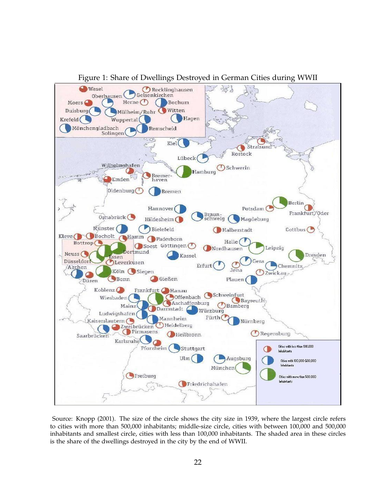

Figure 1: Share of Dwellings Destroyed in German Cities during WWII

Source: Knopp (2001). The size of the circle shows the city size in 1939, where the largest circle refers to cities with more than 500,000 inhabitants; middle-size circle, cities with between 100,000 and 500,000 inhabitants and smallest circle, cities with less than 100,000 inhabitants. The shaded area in these circles is the share of the dwellings destroyed in the city by the end of WWII.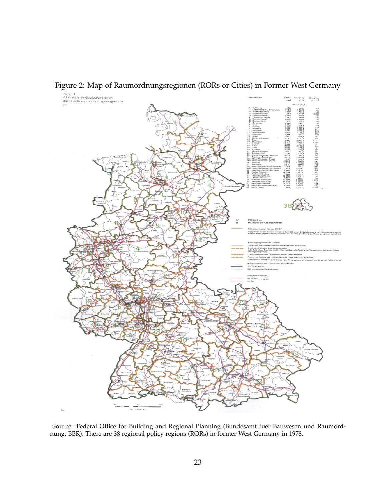

Figure 2: Map of Raumordnungsregionen (RORs or Cities) in Former West Germany

Source: Federal Office for Building and Regional Planning (Bundesamt fuer Bauwesen und Raumordnung, BBR). There are 38 regional policy regions (RORs) in former West Germany in 1978.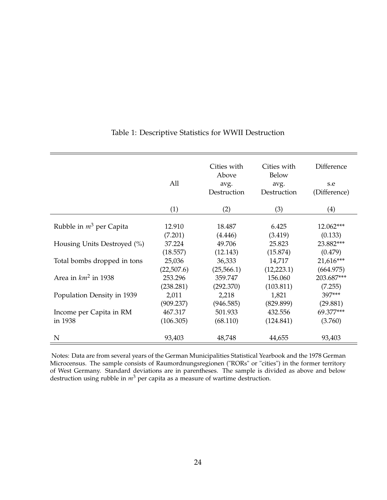|                             | All        | Cities with<br>Above<br>avg.<br>Destruction | Cities with<br>Below<br>avg.<br>Destruction | Difference<br>s.e<br>(Difference) |
|-----------------------------|------------|---------------------------------------------|---------------------------------------------|-----------------------------------|
|                             | (1)        | (2)                                         | (3)                                         | (4)                               |
| Rubble in $m^3$ per Capita  | 12.910     | 18.487                                      | 6.425                                       | 12.062***                         |
|                             | (7.201)    | (4.446)                                     | (3.419)                                     | (0.133)                           |
| Housing Units Destroyed (%) | 37.224     | 49.706                                      | 25.823                                      | 23.882***                         |
|                             | (18.557)   | (12.143)                                    | (15.874)                                    | (0.479)                           |
| Total bombs dropped in tons | 25,036     | 36,333                                      | 14,717                                      | 21,616***                         |
|                             | (22,507.6) | (25,566.1)                                  | (12, 223.1)                                 | (664.975)                         |
| Area in $km^2$ in 1938      | 253.296    | 359.747                                     | 156.060                                     | 203.687***                        |
|                             | (238.281)  | (292.370)                                   | (103.811)                                   | (7.255)                           |
| Population Density in 1939  | 2,011      | 2,218                                       | 1,821                                       | 397***                            |
|                             | (909.237)  | (946.585)                                   | (829.899)                                   | (29.881)                          |
| Income per Capita in RM     | 467.317    | 501.933                                     | 432.556                                     | 69.377***                         |
| in 1938                     | (106.305)  | (68.110)                                    | (124.841)                                   | (3.760)                           |
| N                           | 93,403     | 48,748                                      | 44,655                                      | 93,403                            |

#### Table 1: Descriptive Statistics for WWII Destruction

Notes: Data are from several years of the German Municipalities Statistical Yearbook and the 1978 German Microcensus. The sample consists of Raumordnungsregionen ("RORs" or "cities") in the former territory of West Germany. Standard deviations are in parentheses. The sample is divided as above and below destruction using rubble in  $m<sup>3</sup>$  per capita as a measure of wartime destruction.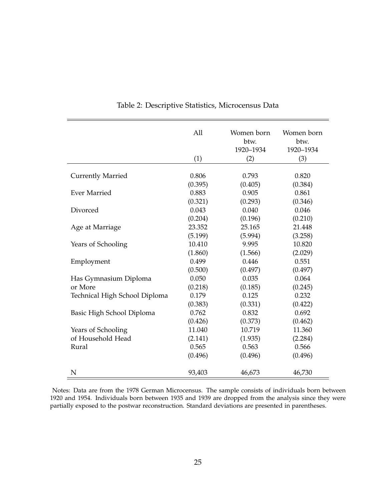|                               | All     | Women born | Women born |
|-------------------------------|---------|------------|------------|
|                               |         | btw.       | btw.       |
|                               |         | 1920-1934  | 1920-1934  |
|                               | (1)     | (2)        | (3)        |
|                               |         |            |            |
| <b>Currently Married</b>      | 0.806   | 0.793      | 0.820      |
|                               | (0.395) | (0.405)    | (0.384)    |
| <b>Ever Married</b>           | 0.883   | 0.905      | 0.861      |
|                               | (0.321) | (0.293)    | (0.346)    |
| Divorced                      | 0.043   | 0.040      | 0.046      |
|                               | (0.204) | (0.196)    | (0.210)    |
| Age at Marriage               | 23.352  | 25.165     | 21.448     |
|                               | (5.199) | (5.994)    | (3.258)    |
| Years of Schooling            | 10.410  | 9.995      | 10.820     |
|                               | (1.860) | (1.566)    | (2.029)    |
| Employment                    | 0.499   | 0.446      | 0.551      |
|                               | (0.500) | (0.497)    | (0.497)    |
| Has Gymnasium Diploma         | 0.050   | 0.035      | 0.064      |
| or More                       | (0.218) | (0.185)    | (0.245)    |
| Technical High School Diploma | 0.179   | 0.125      | 0.232      |
|                               | (0.383) | (0.331)    | (0.422)    |
| Basic High School Diploma     | 0.762   | 0.832      | 0.692      |
|                               | (0.426) | (0.373)    | (0.462)    |
| Years of Schooling            | 11.040  | 10.719     | 11.360     |
| of Household Head             | (2.141) | (1.935)    | (2.284)    |
| Rural                         | 0.565   | 0.563      | 0.566      |
|                               | (0.496) | (0.496)    | (0.496)    |
|                               |         |            |            |
| N                             | 93,403  | 46,673     | 46,730     |

Table 2: Descriptive Statistics, Microcensus Data

Notes: Data are from the 1978 German Microcensus. The sample consists of individuals born between 1920 and 1954. Individuals born between 1935 and 1939 are dropped from the analysis since they were partially exposed to the postwar reconstruction. Standard deviations are presented in parentheses.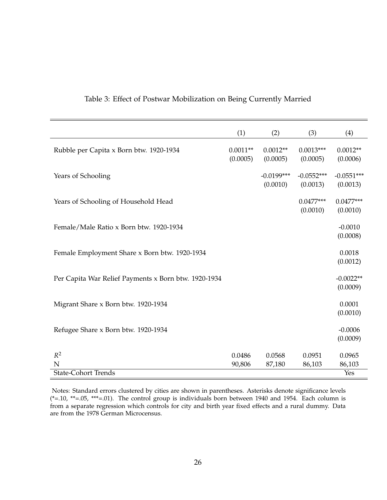|                                                      | (1)                    | (2)                      | (3)                      | (4)                      |
|------------------------------------------------------|------------------------|--------------------------|--------------------------|--------------------------|
| Rubble per Capita x Born btw. 1920-1934              | $0.0011**$<br>(0.0005) | $0.0012**$<br>(0.0005)   | $0.0013***$<br>(0.0005)  | $0.0012**$<br>(0.0006)   |
| Years of Schooling                                   |                        | $-0.0199***$<br>(0.0010) | $-0.0552***$<br>(0.0013) | $-0.0551***$<br>(0.0013) |
| Years of Schooling of Household Head                 |                        |                          | $0.0477***$<br>(0.0010)  | $0.0477***$<br>(0.0010)  |
| Female/Male Ratio x Born btw. 1920-1934              |                        |                          |                          | $-0.0010$<br>(0.0008)    |
| Female Employment Share x Born btw. 1920-1934        |                        |                          |                          | 0.0018<br>(0.0012)       |
| Per Capita War Relief Payments x Born btw. 1920-1934 |                        |                          |                          | $-0.0022**$<br>(0.0009)  |
| Migrant Share x Born btw. 1920-1934                  |                        |                          |                          | 0.0001<br>(0.0010)       |
| Refugee Share x Born btw. 1920-1934                  |                        |                          |                          | $-0.0006$<br>(0.0009)    |
| $R^2$<br>N                                           | 0.0486<br>90,806       | 0.0568<br>87,180         | 0.0951<br>86,103         | 0.0965<br>86,103         |
| <b>State-Cohort Trends</b>                           |                        |                          |                          | Yes                      |

#### Table 3: Effect of Postwar Mobilization on Being Currently Married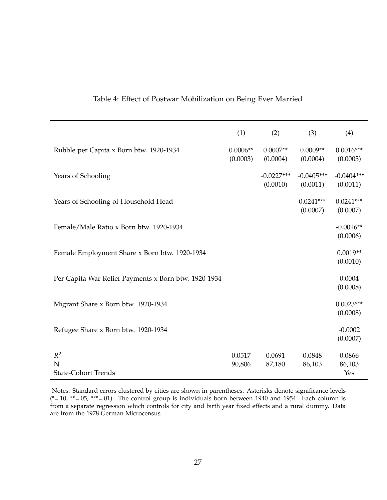| (1)                    | (2)                      | (3)                      | (4)                      |
|------------------------|--------------------------|--------------------------|--------------------------|
| $0.0006**$<br>(0.0003) | $0.0007**$<br>(0.0004)   | $0.0009**$<br>(0.0004)   | $0.0016***$<br>(0.0005)  |
|                        | $-0.0227***$<br>(0.0010) | $-0.0405***$<br>(0.0011) | $-0.0404***$<br>(0.0011) |
|                        |                          | $0.0241***$<br>(0.0007)  | $0.0241***$<br>(0.0007)  |
|                        |                          |                          | $-0.0016**$<br>(0.0006)  |
|                        |                          |                          | $0.0019**$<br>(0.0010)   |
|                        |                          |                          | 0.0004<br>(0.0008)       |
|                        |                          |                          | $0.0023***$<br>(0.0008)  |
|                        |                          |                          | $-0.0002$<br>(0.0007)    |
| 0.0517                 | 0.0691                   | 0.0848                   | 0.0866                   |
|                        |                          |                          | 86,103<br>Yes            |
|                        | 90,806                   | 87,180                   | 86,103                   |

#### Table 4: Effect of Postwar Mobilization on Being Ever Married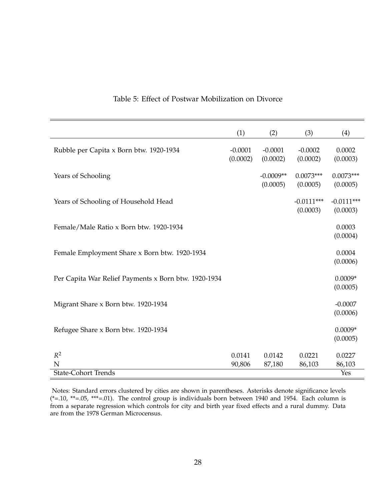|                                                      | (1)                   | (2)                     | (3)                      | (4)                      |
|------------------------------------------------------|-----------------------|-------------------------|--------------------------|--------------------------|
| Rubble per Capita x Born btw. 1920-1934              | $-0.0001$<br>(0.0002) | $-0.0001$<br>(0.0002)   | $-0.0002$<br>(0.0002)    | 0.0002<br>(0.0003)       |
| Years of Schooling                                   |                       | $-0.0009**$<br>(0.0005) | $0.0073***$<br>(0.0005)  | $0.0073***$<br>(0.0005)  |
| Years of Schooling of Household Head                 |                       |                         | $-0.0111***$<br>(0.0003) | $-0.0111***$<br>(0.0003) |
| Female/Male Ratio x Born btw. 1920-1934              |                       |                         |                          | 0.0003<br>(0.0004)       |
| Female Employment Share x Born btw. 1920-1934        |                       |                         |                          | 0.0004<br>(0.0006)       |
| Per Capita War Relief Payments x Born btw. 1920-1934 |                       |                         |                          | $0.0009*$<br>(0.0005)    |
| Migrant Share x Born btw. 1920-1934                  |                       |                         |                          | $-0.0007$<br>(0.0006)    |
| Refugee Share x Born btw. 1920-1934                  |                       |                         |                          | $0.0009*$<br>(0.0005)    |
| $R^2$<br>N                                           | 0.0141                | 0.0142                  | 0.0221                   | 0.0227                   |
| <b>State-Cohort Trends</b>                           | 90,806                | 87,180                  | 86,103                   | 86,103<br>Yes            |

#### Table 5: Effect of Postwar Mobilization on Divorce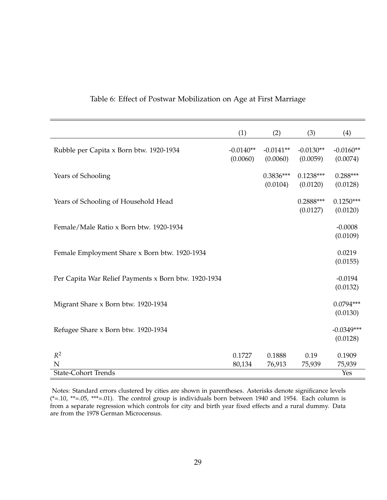|                                                      | (1)                     | (2)                     | (3)                     | (4)                      |
|------------------------------------------------------|-------------------------|-------------------------|-------------------------|--------------------------|
| Rubble per Capita x Born btw. 1920-1934              | $-0.0140**$<br>(0.0060) | $-0.0141**$<br>(0.0060) | $-0.0130**$<br>(0.0059) | $-0.0160**$<br>(0.0074)  |
| Years of Schooling                                   |                         | $0.3836***$<br>(0.0104) | $0.1238***$<br>(0.0120) | $0.288***$<br>(0.0128)   |
| Years of Schooling of Household Head                 |                         |                         | $0.2888***$<br>(0.0127) | $0.1250***$<br>(0.0120)  |
| Female/Male Ratio x Born btw. 1920-1934              |                         |                         |                         | $-0.0008$<br>(0.0109)    |
| Female Employment Share x Born btw. 1920-1934        |                         |                         |                         | 0.0219<br>(0.0155)       |
| Per Capita War Relief Payments x Born btw. 1920-1934 |                         |                         |                         | $-0.0194$<br>(0.0132)    |
| Migrant Share x Born btw. 1920-1934                  |                         |                         |                         | $0.0794***$<br>(0.0130)  |
| Refugee Share x Born btw. 1920-1934                  |                         |                         |                         | $-0.0349***$<br>(0.0128) |
| $R^2$<br>N                                           | 0.1727<br>80,134        | 0.1888<br>76,913        | 0.19<br>75,939          | 0.1909<br>75,939         |
| <b>State-Cohort Trends</b>                           |                         |                         |                         | Yes                      |

#### Table 6: Effect of Postwar Mobilization on Age at First Marriage